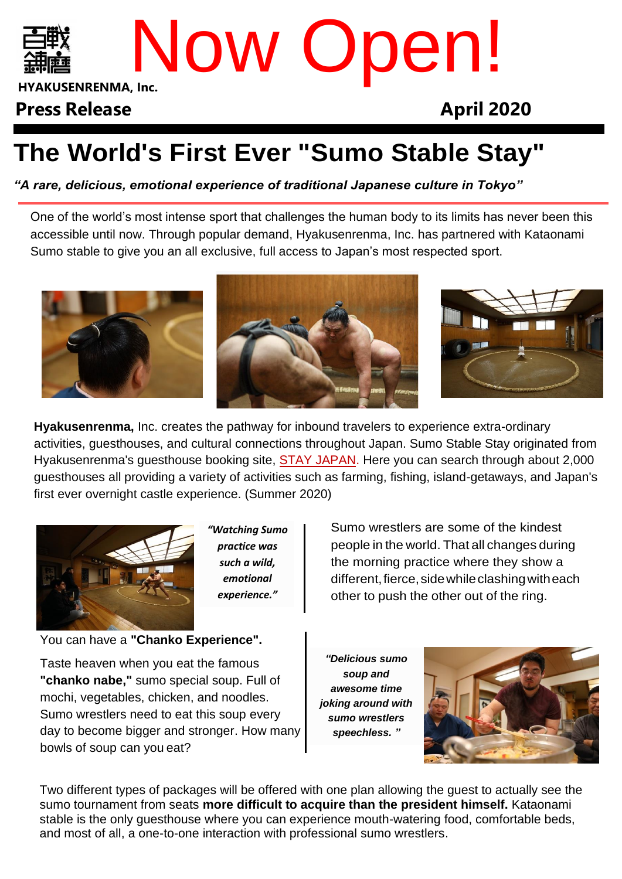

# **HYAKUSENRENMA, Inc.** Now Open!

## **Press Release April 2020**

## **The World's First Ever "Sumo Stable Stay"**

*"A rare, delicious, emotional experience of traditional Japanese culture in Tokyo"*

One of the world's most intense sport that challenges the human body to its limits has never been this accessible until now. Through popular demand, Hyakusenrenma, Inc. has partnered with Kataonami Sumo stable to give you an all exclusive, full access to Japan's most respected sport.



**Hyakusenrenma,** Inc. creates the pathway for inbound travelers to experience extra-ordinary activities, guesthouses, and cultural connections throughout Japan. Sumo Stable Stay originated from Hyakusenrenma's guesthouse booking site, [STAY JAPAN.](http://en.stayjapan.com/) Here you can search through about 2,000 guesthouses all providing a variety of activities such as farming, fishing, island-getaways, and Japan's first ever overnight castle experience. (Summer 2020)



*"Watching Sumo practice was such a wild, emotional experience."*

Sumo wrestlers are some of the kindest people in the world. That all changes during the morning practice where they show a different, fierce, side while clashing with each other to push the other out of the ring.

You can have a **"Chanko Experience".**

Taste heaven when you eat the famous **"chanko nabe,"** sumo special soup. Full of mochi, vegetables, chicken, and noodles. Sumo wrestlers need to eat this soup every day to become bigger and stronger. How many bowls of soup can you eat?

*"Delicious sumo soup and awesome time joking around with sumo wrestlers speechless. "*



Two different types of packages will be offered with one plan allowing the guest to actually see the sumo tournament from seats **more difficult to acquire than the president himself.** Kataonami stable is the only guesthouse where you can experience mouth-watering food, comfortable beds, and most of all, a one-to-one interaction with professional sumo wrestlers.